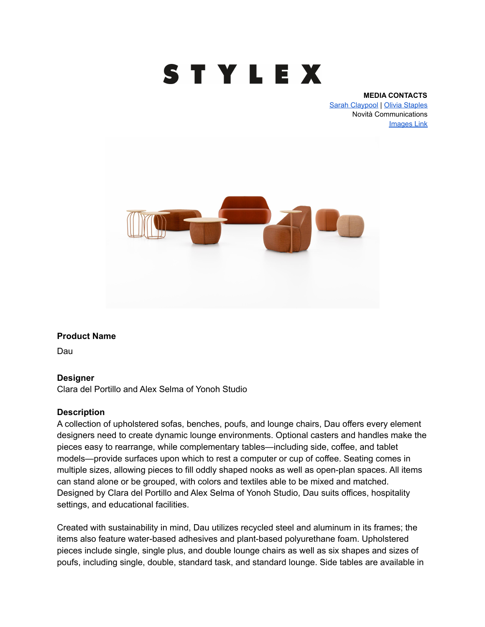

#### **MEDIA CONTACTS**

[Sarah Claypool](mailto:sarah@novitapr.com) | [Olivia Staples](mailto:olivia@novitapr.com) Novità Communications [Images Link](https://www.dropbox.com/sh/boaft6ewofnbhfr/AACZrK85Y_IEjF5j-OTqnZgha?dl=0)



#### **Product Name**

Dau

#### **Designer**

Clara del Portillo and Alex Selma of Yonoh Studio

#### **Description**

A collection of upholstered sofas, benches, poufs, and lounge chairs, Dau offers every element designers need to create dynamic lounge environments. Optional casters and handles make the pieces easy to rearrange, while complementary tables—including side, coffee, and tablet models—provide surfaces upon which to rest a computer or cup of coffee. Seating comes in multiple sizes, allowing pieces to fill oddly shaped nooks as well as open-plan spaces. All items can stand alone or be grouped, with colors and textiles able to be mixed and matched. Designed by Clara del Portillo and Alex Selma of Yonoh Studio, Dau suits offices, hospitality settings, and educational facilities.

Created with sustainability in mind, Dau utilizes recycled steel and aluminum in its frames; the items also feature water-based adhesives and plant-based polyurethane foam. Upholstered pieces include single, single plus, and double lounge chairs as well as six shapes and sizes of poufs, including single, double, standard task, and standard lounge. Side tables are available in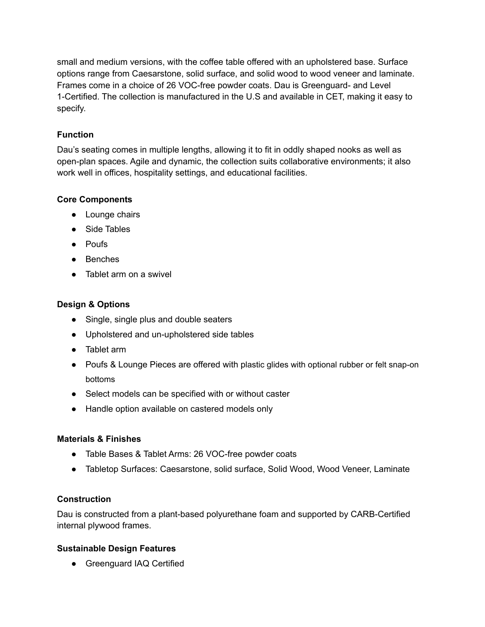small and medium versions, with the coffee table offered with an upholstered base. Surface options range from Caesarstone, solid surface, and solid wood to wood veneer and laminate. Frames come in a choice of 26 VOC-free powder coats. Dau is Greenguard- and Level 1-Certified. The collection is manufactured in the U.S and available in CET, making it easy to specify.

# **Function**

Dau's seating comes in multiple lengths, allowing it to fit in oddly shaped nooks as well as open-plan spaces. Agile and dynamic, the collection suits collaborative environments; it also work well in offices, hospitality settings, and educational facilities.

## **Core Components**

- Lounge chairs
- Side Tables
- Poufs
- Benches
- Tablet arm on a swivel

## **Design & Options**

- Single, single plus and double seaters
- Upholstered and un-upholstered side tables
- Tablet arm
- Poufs & Lounge Pieces are offered with plastic glides with optional rubber or felt snap-on bottoms
- Select models can be specified with or without caster
- Handle option available on castered models only

## **Materials & Finishes**

- Table Bases & Tablet Arms: 26 VOC-free powder coats
- Tabletop Surfaces: Caesarstone, solid surface, Solid Wood, Wood Veneer, Laminate

## **Construction**

Dau is constructed from a plant-based polyurethane foam and supported by CARB-Certified internal plywood frames.

## **Sustainable Design Features**

• Greenguard IAQ Certified